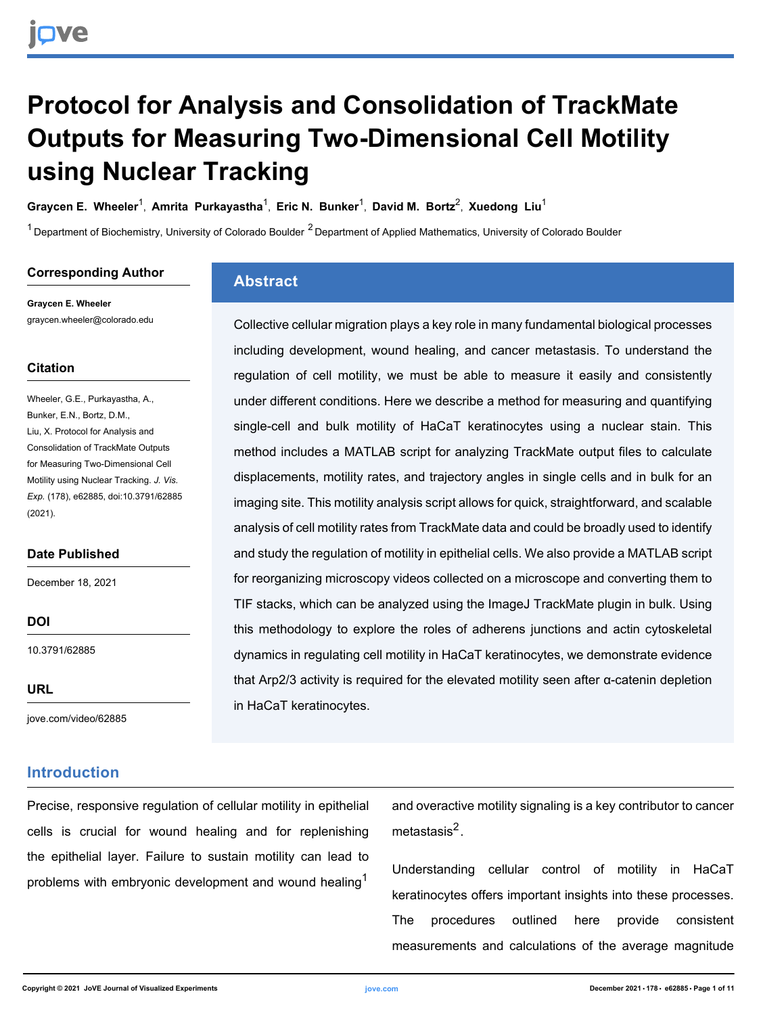## **Protocol for Analysis and Consolidation of TrackMate Outputs for Measuring Two-Dimensional Cell Motility using Nuclear Tracking**

**[Graycen E. Wheeler](https://www.jove.com/author/Graycen%20E._Wheeler)<sup>1</sup>, [Amrita Purkayastha](https://www.jove.com/author/Amrita_Purkayastha)<sup>1</sup>, [Eric N. Bunker](https://www.jove.com/author/Eric%20N._Bunker)<sup>1</sup>, [David M. Bortz](https://www.jove.com/author/David%20M._Bortz)<sup>2</sup>, [Xuedong Liu](https://www.jove.com/author/Xuedong_Liu)<sup>1</sup>** 

 $1$  Department of Biochemistry, University of Colorado Boulder  $2$  Department of Applied Mathematics, University of Colorado Boulder

#### **Corresponding Author**

**Graycen E. Wheeler** graycen.wheeler@colorado.edu

#### **Citation**

Wheeler, G.E., Purkayastha, A., Bunker, E.N., Bortz, D.M., Liu, X. Protocol for Analysis and Consolidation of TrackMate Outputs for Measuring Two-Dimensional Cell Motility using Nuclear Tracking. *J. Vis. Exp.* (178), e62885, doi:10.3791/62885 (2021).

#### **Date Published**

December 18, 2021

**DOI**

[10.3791/62885](http://dx.doi.org/10.3791/62885)

**URL**

[jove.com/video/62885](https://www.jove.com/video/62885)

### **Introduction**

## **Abstract**

Collective cellular migration plays a key role in many fundamental biological processes including development, wound healing, and cancer metastasis. To understand the regulation of cell motility, we must be able to measure it easily and consistently under different conditions. Here we describe a method for measuring and quantifying single-cell and bulk motility of HaCaT keratinocytes using a nuclear stain. This method includes a MATLAB script for analyzing TrackMate output files to calculate displacements, motility rates, and trajectory angles in single cells and in bulk for an imaging site. This motility analysis script allows for quick, straightforward, and scalable analysis of cell motility rates from TrackMate data and could be broadly used to identify and study the regulation of motility in epithelial cells. We also provide a MATLAB script for reorganizing microscopy videos collected on a microscope and converting them to TIF stacks, which can be analyzed using the ImageJ TrackMate plugin in bulk. Using this methodology to explore the roles of adherens junctions and actin cytoskeletal dynamics in regulating cell motility in HaCaT keratinocytes, we demonstrate evidence that Arp2/3 activity is required for the elevated motility seen after α-catenin depletion in HaCaT keratinocytes.

Precise, responsive regulation of cellular motility in epithelial cells is crucial for wound healing and for replenishing the epithelial layer. Failure to sustain motility can lead to problems with embryonic development and wound healing<sup>1</sup>

and overactive motility signaling is a key contributor to cancer metastasis<sup>2</sup>.

Understanding cellular control of motility in HaCaT keratinocytes offers important insights into these processes. The procedures outlined here provide consistent measurements and calculations of the average magnitude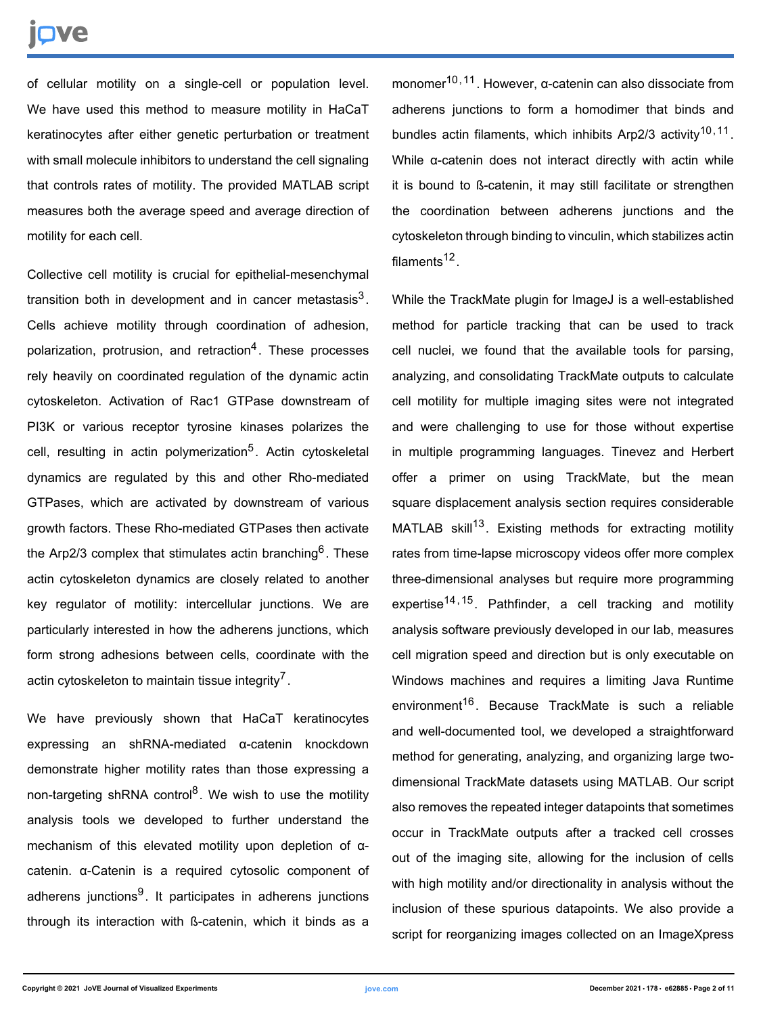# Ove

of cellular motility on a single-cell or population level. We have used this method to measure motility in HaCaT keratinocytes after either genetic perturbation or treatment with small molecule inhibitors to understand the cell signaling that controls rates of motility. The provided MATLAB script measures both the average speed and average direction of motility for each cell.

Collective cell motility is crucial for epithelial-mesenchymal transition both in development and in cancer metastasis $^3$ . Cells achieve motility through coordination of adhesion, polarization, protrusion, and retraction<sup>4</sup>. These processes rely heavily on coordinated regulation of the dynamic actin cytoskeleton. Activation of Rac1 GTPase downstream of PI3K or various receptor tyrosine kinases polarizes the cell, resulting in actin polymerization<sup>5</sup>. Actin cytoskeletal dynamics are regulated by this and other Rho-mediated GTPases, which are activated by downstream of various growth factors. These Rho-mediated GTPases then activate the Arp2/3 complex that stimulates actin branching<sup>6</sup>. These actin cytoskeleton dynamics are closely related to another key regulator of motility: intercellular junctions. We are particularly interested in how the adherens junctions, which form strong adhesions between cells, coordinate with the actin cytoskeleton to maintain tissue integrity<sup>7</sup>.

We have previously shown that HaCaT keratinocytes expressing an shRNA-mediated α-catenin knockdown demonstrate higher motility rates than those expressing a non-targeting shRNA control<sup>8</sup>. We wish to use the motility analysis tools we developed to further understand the mechanism of this elevated motility upon depletion of αcatenin. α-Catenin is a required cytosolic component of adherens junctions<sup>9</sup>. It participates in adherens junctions through its interaction with ß-catenin, which it binds as a

monomer<sup>10,11</sup>. However, α-catenin can also dissociate from adherens junctions to form a homodimer that binds and bundles actin filaments, which inhibits Arp2/3 activity<sup>10,11</sup>. While α-catenin does not interact directly with actin while it is bound to ß-catenin, it may still facilitate or strengthen the coordination between adherens junctions and the cytoskeleton through binding to vinculin, which stabilizes actin filaments<sup>12</sup>.

While the TrackMate plugin for ImageJ is a well-established method for particle tracking that can be used to track cell nuclei, we found that the available tools for parsing, analyzing, and consolidating TrackMate outputs to calculate cell motility for multiple imaging sites were not integrated and were challenging to use for those without expertise in multiple programming languages. Tinevez and Herbert offer a primer on using TrackMate, but the mean square displacement analysis section requires considerable MATLAB skill<sup>13</sup>. Existing methods for extracting motility rates from time-lapse microscopy videos offer more complex three-dimensional analyses but require more programming expertise<sup>14, 15</sup>. Pathfinder, a cell tracking and motility analysis software previously developed in our lab, measures cell migration speed and direction but is only executable on Windows machines and requires a limiting Java Runtime environment<sup>16</sup>. Because TrackMate is such a reliable and well-documented tool, we developed a straightforward method for generating, analyzing, and organizing large twodimensional TrackMate datasets using MATLAB. Our script also removes the repeated integer datapoints that sometimes occur in TrackMate outputs after a tracked cell crosses out of the imaging site, allowing for the inclusion of cells with high motility and/or directionality in analysis without the inclusion of these spurious datapoints. We also provide a script for reorganizing images collected on an ImageXpress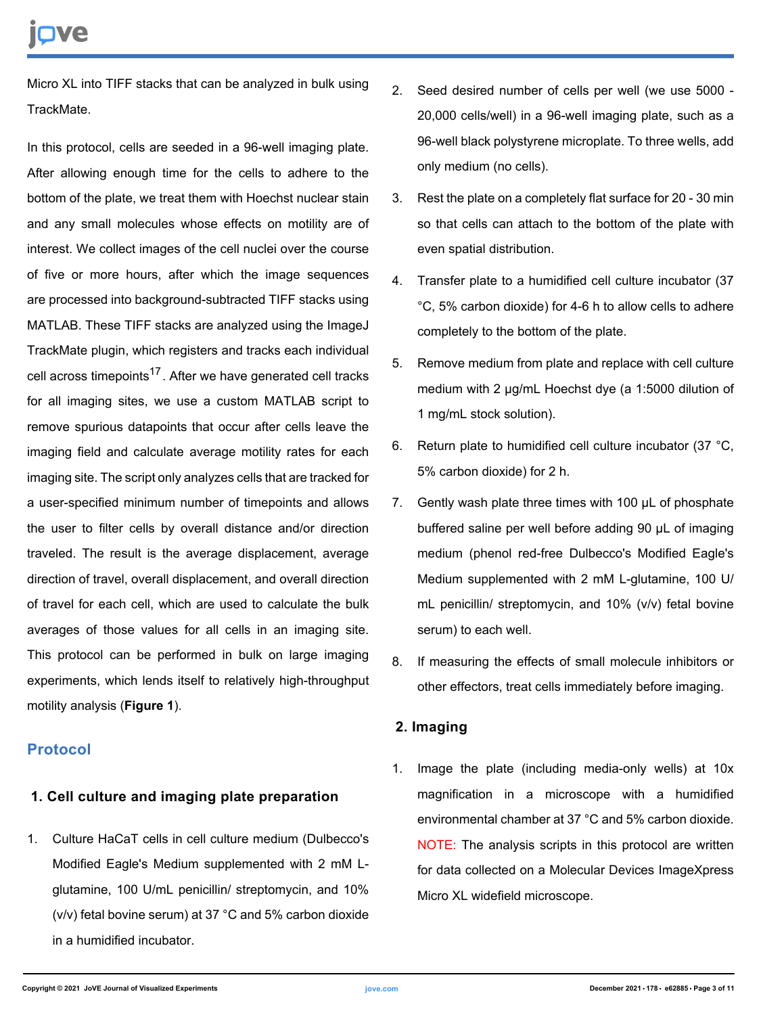Micro XL into TIFF stacks that can be analyzed in bulk using TrackMate.

In this protocol, cells are seeded in a 96-well imaging plate. After allowing enough time for the cells to adhere to the bottom of the plate, we treat them with Hoechst nuclear stain and any small molecules whose effects on motility are of interest. We collect images of the cell nuclei over the course of five or more hours, after which the image sequences are processed into background-subtracted TIFF stacks using MATLAB. These TIFF stacks are analyzed using the ImageJ TrackMate plugin, which registers and tracks each individual cell across timepoints<sup>17</sup>. After we have generated cell tracks for all imaging sites, we use a custom MATLAB script to remove spurious datapoints that occur after cells leave the imaging field and calculate average motility rates for each imaging site. The script only analyzes cells that are tracked for a user-specified minimum number of timepoints and allows the user to filter cells by overall distance and/or direction traveled. The result is the average displacement, average direction of travel, overall displacement, and overall direction of travel for each cell, which are used to calculate the bulk averages of those values for all cells in an imaging site. This protocol can be performed in bulk on large imaging experiments, which lends itself to relatively high-throughput motility analysis (**Figure 1**).

### **Protocol**

### **1. Cell culture and imaging plate preparation**

1. Culture HaCaT cells in cell culture medium (Dulbecco's Modified Eagle's Medium supplemented with 2 mM Lglutamine, 100 U/mL penicillin/ streptomycin, and 10% (v/v) fetal bovine serum) at 37 °C and 5% carbon dioxide in a humidified incubator.

- 2. Seed desired number of cells per well (we use 5000 20,000 cells/well) in a 96-well imaging plate, such as a 96-well black polystyrene microplate. To three wells, add only medium (no cells).
- 3. Rest the plate on a completely flat surface for 20 30 min so that cells can attach to the bottom of the plate with even spatial distribution.
- 4. Transfer plate to a humidified cell culture incubator (37 °C, 5% carbon dioxide) for 4-6 h to allow cells to adhere completely to the bottom of the plate.
- 5. Remove medium from plate and replace with cell culture medium with 2 µg/mL Hoechst dye (a 1:5000 dilution of 1 mg/mL stock solution).
- 6. Return plate to humidified cell culture incubator (37 °C, 5% carbon dioxide) for 2 h.
- 7. Gently wash plate three times with 100 µL of phosphate buffered saline per well before adding 90 µL of imaging medium (phenol red-free Dulbecco's Modified Eagle's Medium supplemented with 2 mM L-glutamine, 100 U/ mL penicillin/ streptomycin, and 10% (v/v) fetal bovine serum) to each well.
- 8. If measuring the effects of small molecule inhibitors or other effectors, treat cells immediately before imaging.

### **2. Imaging**

1. Image the plate (including media-only wells) at 10x magnification in a microscope with a humidified environmental chamber at 37 °C and 5% carbon dioxide. NOTE: The analysis scripts in this protocol are written for data collected on a Molecular Devices ImageXpress Micro XL widefield microscope.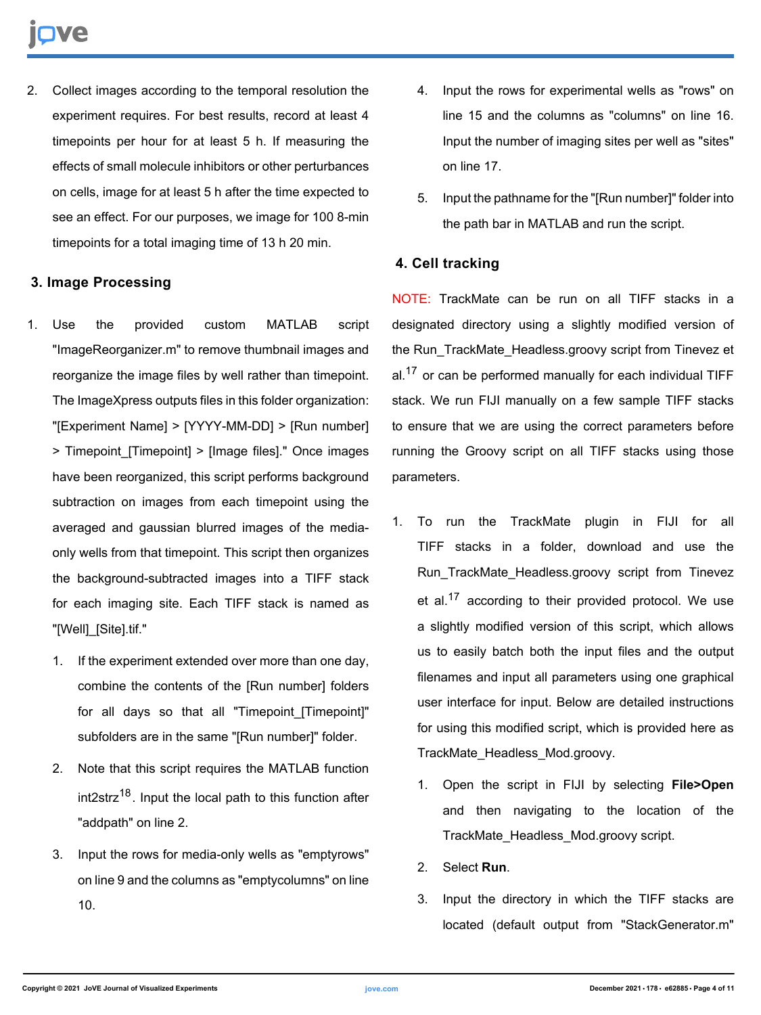2. Collect images according to the temporal resolution the experiment requires. For best results, record at least 4 timepoints per hour for at least 5 h. If measuring the effects of small molecule inhibitors or other perturbances on cells, image for at least 5 h after the time expected to see an effect. For our purposes, we image for 100 8-min timepoints for a total imaging time of 13 h 20 min.

### **3. Image Processing**

- 1. Use the provided custom MATLAB script "ImageReorganizer.m" to remove thumbnail images and reorganize the image files by well rather than timepoint. The ImageXpress outputs files in this folder organization: "[Experiment Name] > [YYYY-MM-DD] > [Run number] > Timepoint\_[Timepoint] > [Image files]." Once images have been reorganized, this script performs background subtraction on images from each timepoint using the averaged and gaussian blurred images of the mediaonly wells from that timepoint. This script then organizes the background-subtracted images into a TIFF stack for each imaging site. Each TIFF stack is named as "[Well]\_[Site].tif."
	- 1. If the experiment extended over more than one day, combine the contents of the [Run number] folders for all days so that all "Timepoint\_[Timepoint]" subfolders are in the same "[Run number]" folder.
	- 2. Note that this script requires the MATLAB function  $int2$ str $z^{18}$ . Input the local path to this function after "addpath" on line 2.
	- 3. Input the rows for media-only wells as "emptyrows" on line 9 and the columns as "emptycolumns" on line 10.
- 4. Input the rows for experimental wells as "rows" on line 15 and the columns as "columns" on line 16. Input the number of imaging sites per well as "sites" on line 17.
- 5. Input the pathname for the "[Run number]" folder into the path bar in MATLAB and run the script.

## **4. Cell tracking**

NOTE: TrackMate can be run on all TIFF stacks in a designated directory using a slightly modified version of the Run\_TrackMate\_Headless.groovy script from Tinevez et al. $17$  or can be performed manually for each individual TIFF stack. We run FIJI manually on a few sample TIFF stacks to ensure that we are using the correct parameters before running the Groovy script on all TIFF stacks using those parameters.

- 1. To run the TrackMate plugin in FIJI for all TIFF stacks in a folder, download and use the Run\_TrackMate\_Headless.groovy script from Tinevez et al.<sup>17</sup> according to their provided protocol. We use a slightly modified version of this script, which allows us to easily batch both the input files and the output filenames and input all parameters using one graphical user interface for input. Below are detailed instructions for using this modified script, which is provided here as TrackMate\_Headless\_Mod.groovy.
	- 1. Open the script in FIJI by selecting **File>Open** and then navigating to the location of the TrackMate\_Headless\_Mod.groovy script.
	- 2. Select **Run**.
	- 3. Input the directory in which the TIFF stacks are located (default output from "StackGenerator.m"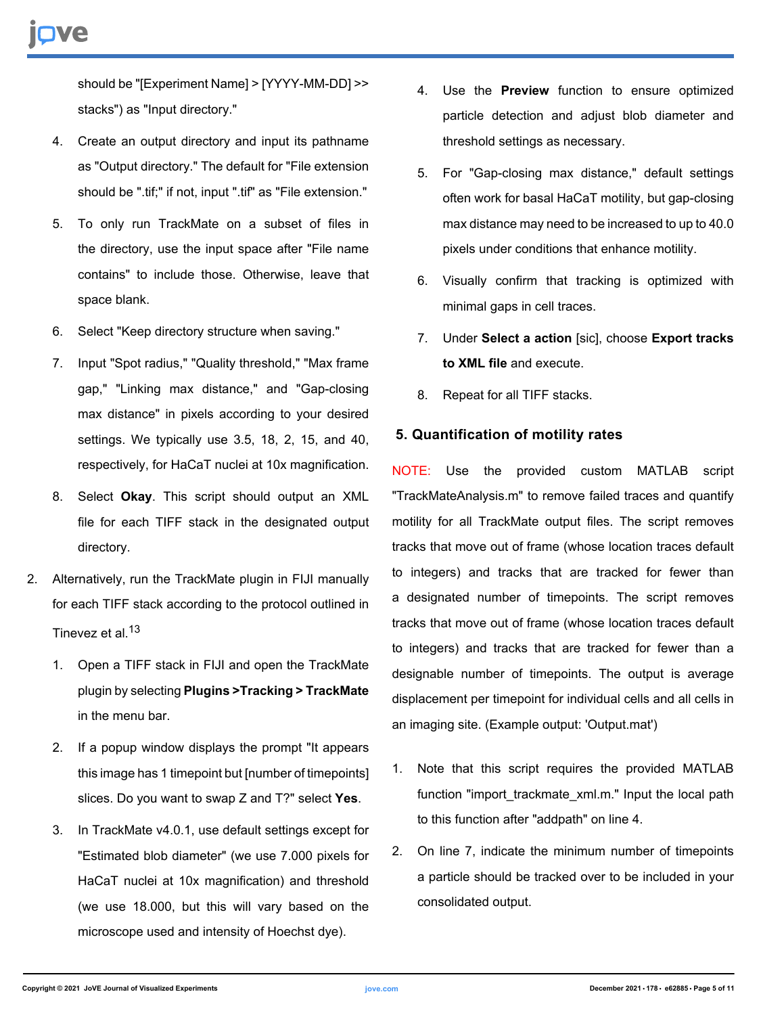should be "[Experiment Name] > [YYYY-MM-DD] >> stacks") as "Input directory."

- 4. Create an output directory and input its pathname as "Output directory." The default for "File extension should be ".tif;" if not, input ".tif" as "File extension."
- 5. To only run TrackMate on a subset of files in the directory, use the input space after "File name contains" to include those. Otherwise, leave that space blank.
- 6. Select "Keep directory structure when saving."
- 7. Input "Spot radius," "Quality threshold," "Max frame gap," "Linking max distance," and "Gap-closing max distance" in pixels according to your desired settings. We typically use 3.5, 18, 2, 15, and 40, respectively, for HaCaT nuclei at 10x magnification.
- 8. Select **Okay**. This script should output an XML file for each TIFF stack in the designated output directory.
- 2. Alternatively, run the TrackMate plugin in FIJI manually for each TIFF stack according to the protocol outlined in Tinevez et al.<sup>13</sup>
	- 1. Open a TIFF stack in FIJI and open the TrackMate plugin by selecting **Plugins >Tracking > TrackMate** in the menu bar.
	- 2. If a popup window displays the prompt "It appears this image has 1 timepoint but [number of timepoints] slices. Do you want to swap Z and T?" select **Yes**.
	- 3. In TrackMate v4.0.1, use default settings except for "Estimated blob diameter" (we use 7.000 pixels for HaCaT nuclei at 10x magnification) and threshold (we use 18.000, but this will vary based on the microscope used and intensity of Hoechst dye).
- 4. Use the **Preview** function to ensure optimized particle detection and adjust blob diameter and threshold settings as necessary.
- 5. For "Gap-closing max distance," default settings often work for basal HaCaT motility, but gap-closing max distance may need to be increased to up to 40.0 pixels under conditions that enhance motility.
- 6. Visually confirm that tracking is optimized with minimal gaps in cell traces.
- 7. Under **Select a action** [sic], choose **Export tracks to XML file** and execute.
- 8. Repeat for all TIFF stacks.

### **5. Quantification of motility rates**

NOTE: Use the provided custom MATLAB script "TrackMateAnalysis.m" to remove failed traces and quantify motility for all TrackMate output files. The script removes tracks that move out of frame (whose location traces default to integers) and tracks that are tracked for fewer than a designated number of timepoints. The script removes tracks that move out of frame (whose location traces default to integers) and tracks that are tracked for fewer than a designable number of timepoints. The output is average displacement per timepoint for individual cells and all cells in an imaging site. (Example output: 'Output.mat')

- 1. Note that this script requires the provided MATLAB function "import trackmate xml.m." Input the local path to this function after "addpath" on line 4.
- 2. On line 7, indicate the minimum number of timepoints a particle should be tracked over to be included in your consolidated output.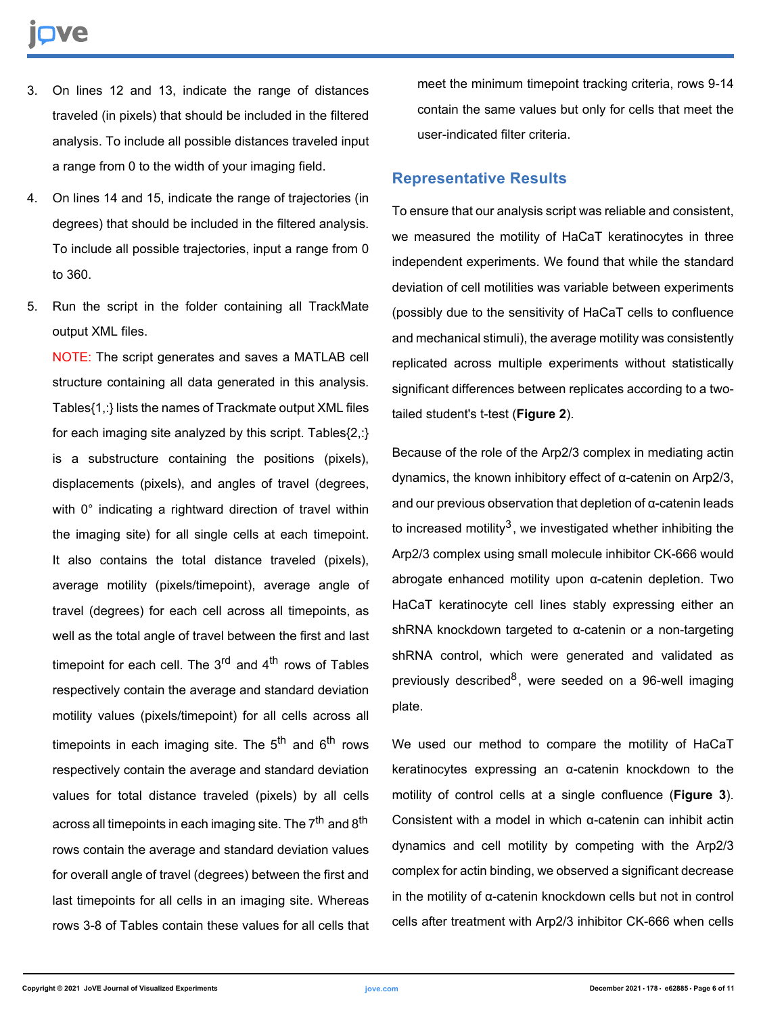- 3. On lines 12 and 13, indicate the range of distances traveled (in pixels) that should be included in the filtered analysis. To include all possible distances traveled input a range from 0 to the width of your imaging field.
- 4. On lines 14 and 15, indicate the range of trajectories (in degrees) that should be included in the filtered analysis. To include all possible trajectories, input a range from 0 to 360.
- 5. Run the script in the folder containing all TrackMate output XML files.

NOTE: The script generates and saves a MATLAB cell structure containing all data generated in this analysis. Tables{1,:} lists the names of Trackmate output XML files for each imaging site analyzed by this script. Tables{2,:} is a substructure containing the positions (pixels), displacements (pixels), and angles of travel (degrees, with 0° indicating a rightward direction of travel within the imaging site) for all single cells at each timepoint. It also contains the total distance traveled (pixels), average motility (pixels/timepoint), average angle of travel (degrees) for each cell across all timepoints, as well as the total angle of travel between the first and last timepoint for each cell. The  $3<sup>rd</sup>$  and  $4<sup>th</sup>$  rows of Tables respectively contain the average and standard deviation motility values (pixels/timepoint) for all cells across all timepoints in each imaging site. The  $5<sup>th</sup>$  and  $6<sup>th</sup>$  rows respectively contain the average and standard deviation values for total distance traveled (pixels) by all cells across all timepoints in each imaging site. The 7<sup>th</sup> and 8<sup>th</sup> rows contain the average and standard deviation values for overall angle of travel (degrees) between the first and last timepoints for all cells in an imaging site. Whereas rows 3-8 of Tables contain these values for all cells that meet the minimum timepoint tracking criteria, rows 9-14 contain the same values but only for cells that meet the user-indicated filter criteria.

#### **Representative Results**

To ensure that our analysis script was reliable and consistent, we measured the motility of HaCaT keratinocytes in three independent experiments. We found that while the standard deviation of cell motilities was variable between experiments (possibly due to the sensitivity of HaCaT cells to confluence and mechanical stimuli), the average motility was consistently replicated across multiple experiments without statistically significant differences between replicates according to a twotailed student's t-test (**Figure 2**).

Because of the role of the Arp2/3 complex in mediating actin dynamics, the known inhibitory effect of α-catenin on Arp2/3, and our previous observation that depletion of α-catenin leads to increased motility<sup>3</sup>, we investigated whether inhibiting the Arp2/3 complex using small molecule inhibitor CK-666 would abrogate enhanced motility upon α-catenin depletion. Two HaCaT keratinocyte cell lines stably expressing either an shRNA knockdown targeted to α-catenin or a non-targeting shRNA control, which were generated and validated as previously described<sup>8</sup>, were seeded on a 96-well imaging plate.

We used our method to compare the motility of HaCaT keratinocytes expressing an α-catenin knockdown to the motility of control cells at a single confluence (**Figure 3**). Consistent with a model in which α-catenin can inhibit actin dynamics and cell motility by competing with the Arp2/3 complex for actin binding, we observed a significant decrease in the motility of α-catenin knockdown cells but not in control cells after treatment with Arp2/3 inhibitor CK-666 when cells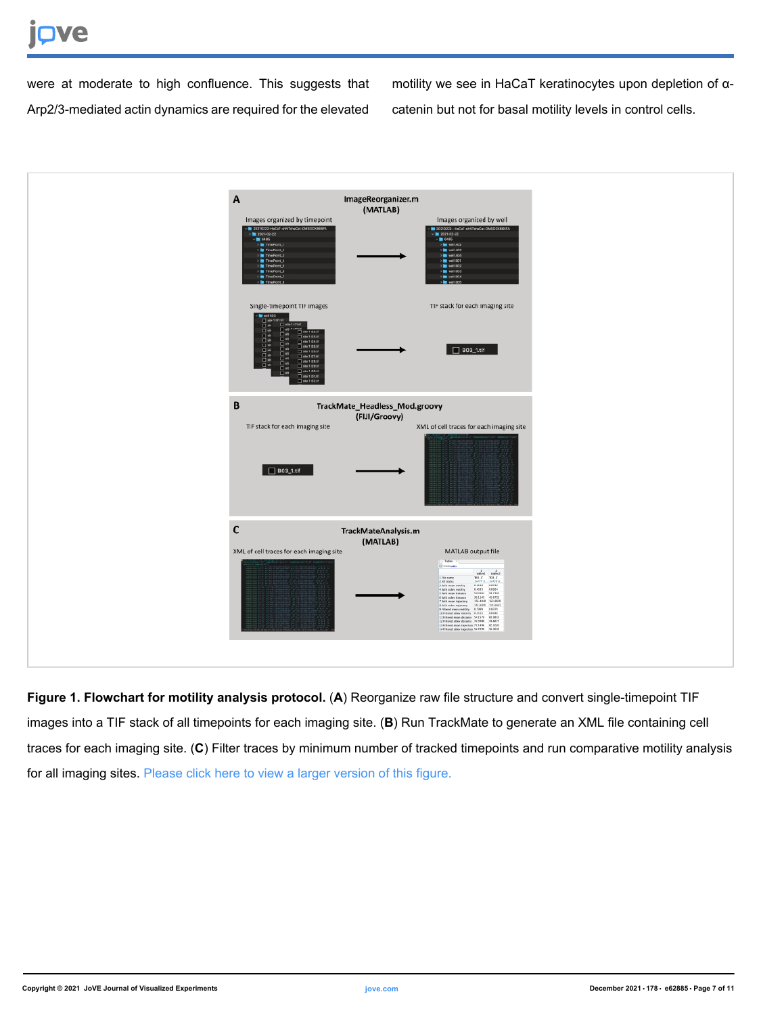# **TVe**

were at moderate to high confluence. This suggests that Arp2/3-mediated actin dynamics are required for the elevated motility we see in HaCaT keratinocytes upon depletion of αcatenin but not for basal motility levels in control cells.



**Figure 1. Flowchart for motility analysis protocol.** (**A**) Reorganize raw file structure and convert single-timepoint TIF images into a TIF stack of all timepoints for each imaging site. (**B**) Run TrackMate to generate an XML file containing cell traces for each imaging site. (**C**) Filter traces by minimum number of tracked timepoints and run comparative motility analysis for all imaging sites. [Please click here to view a larger version of this figure.](https://www.jove.com/files/ftp_upload/62885/62885fig01large.jpg)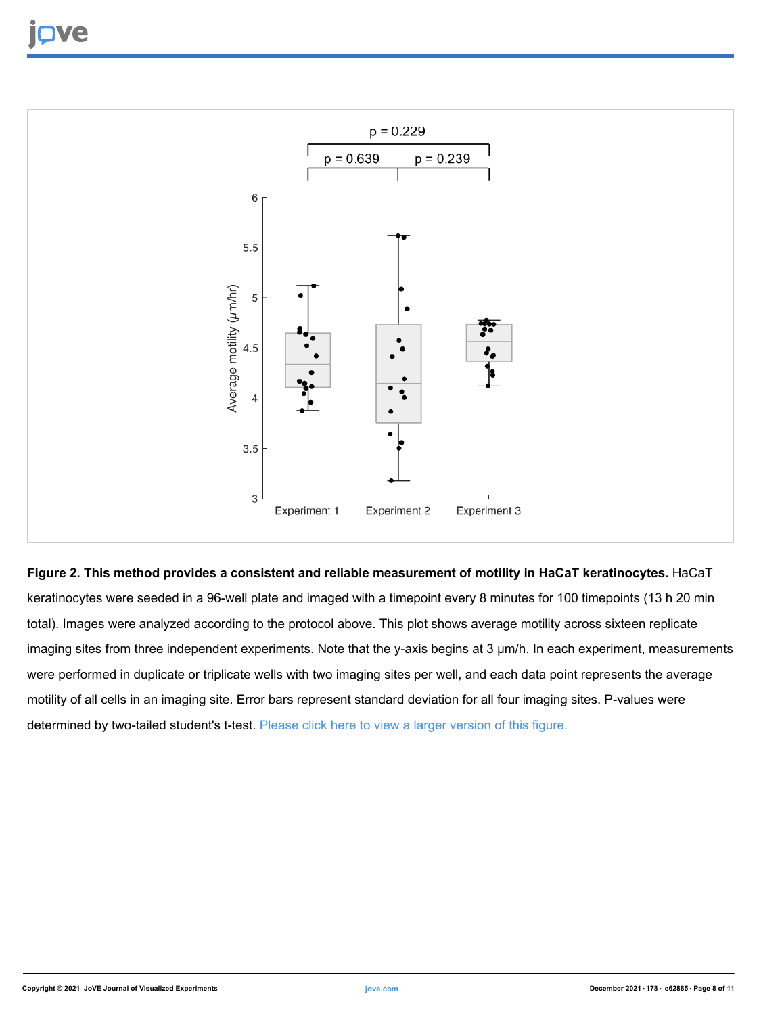

#### **Figure 2. This method provides a consistent and reliable measurement of motility in HaCaT keratinocytes.** HaCaT

keratinocytes were seeded in a 96-well plate and imaged with a timepoint every 8 minutes for 100 timepoints (13 h 20 min total). Images were analyzed according to the protocol above. This plot shows average motility across sixteen replicate imaging sites from three independent experiments. Note that the y-axis begins at 3 µm/h. In each experiment, measurements were performed in duplicate or triplicate wells with two imaging sites per well, and each data point represents the average motility of all cells in an imaging site. Error bars represent standard deviation for all four imaging sites. P-values were determined by two-tailed student's t-test. [Please click here to view a larger version of this figure.](https://www.jove.com/files/ftp_upload/62885/62885fig02large.jpg)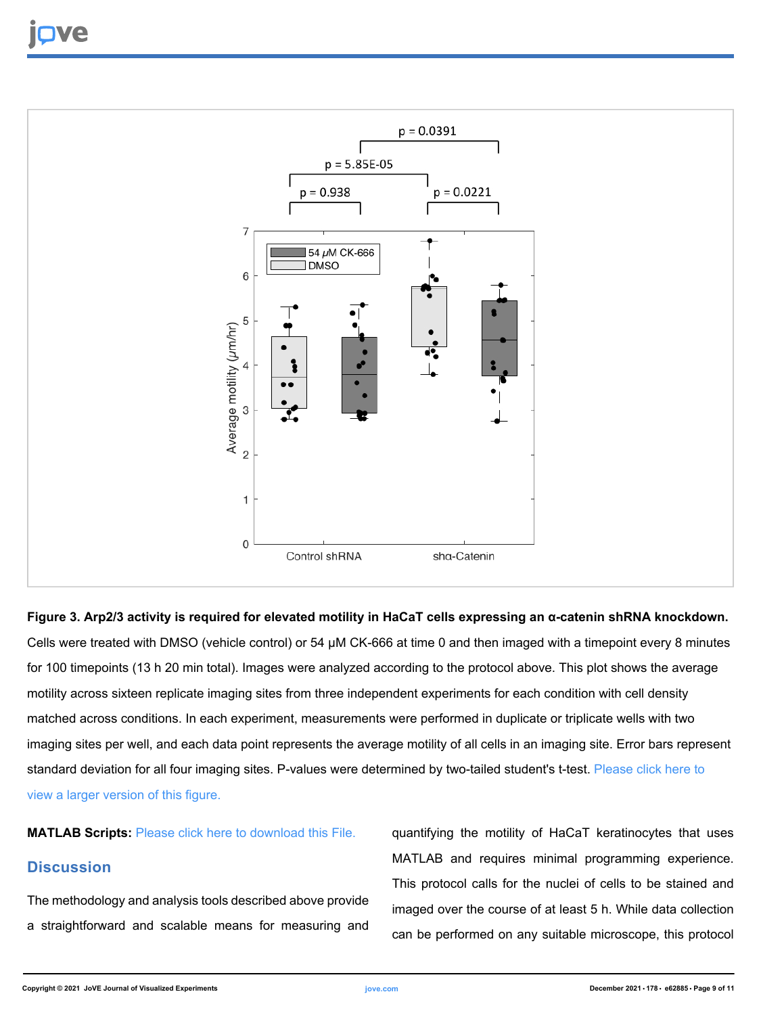

**Figure 3. Arp2/3 activity is required for elevated motility in HaCaT cells expressing an α-catenin shRNA knockdown.** Cells were treated with DMSO (vehicle control) or 54 µM CK-666 at time 0 and then imaged with a timepoint every 8 minutes for 100 timepoints (13 h 20 min total). Images were analyzed according to the protocol above. This plot shows the average motility across sixteen replicate imaging sites from three independent experiments for each condition with cell density matched across conditions. In each experiment, measurements were performed in duplicate or triplicate wells with two imaging sites per well, and each data point represents the average motility of all cells in an imaging site. Error bars represent standard deviation for all four imaging sites. P-values were determined by two-tailed student's t-test. [Please click here to](https://www.jove.com/files/ftp_upload/62885/62885fig03large.jpg) [view a larger version of this figure.](https://www.jove.com/files/ftp_upload/62885/62885fig03large.jpg)

**MATLAB Scripts:** [Please click here to download this File.](https://www.jove.com/files/ftp_upload/62885/TrackMateAnalysis.zip)

#### **Discussion**

The methodology and analysis tools described above provide a straightforward and scalable means for measuring and

quantifying the motility of HaCaT keratinocytes that uses MATLAB and requires minimal programming experience. This protocol calls for the nuclei of cells to be stained and imaged over the course of at least 5 h. While data collection can be performed on any suitable microscope, this protocol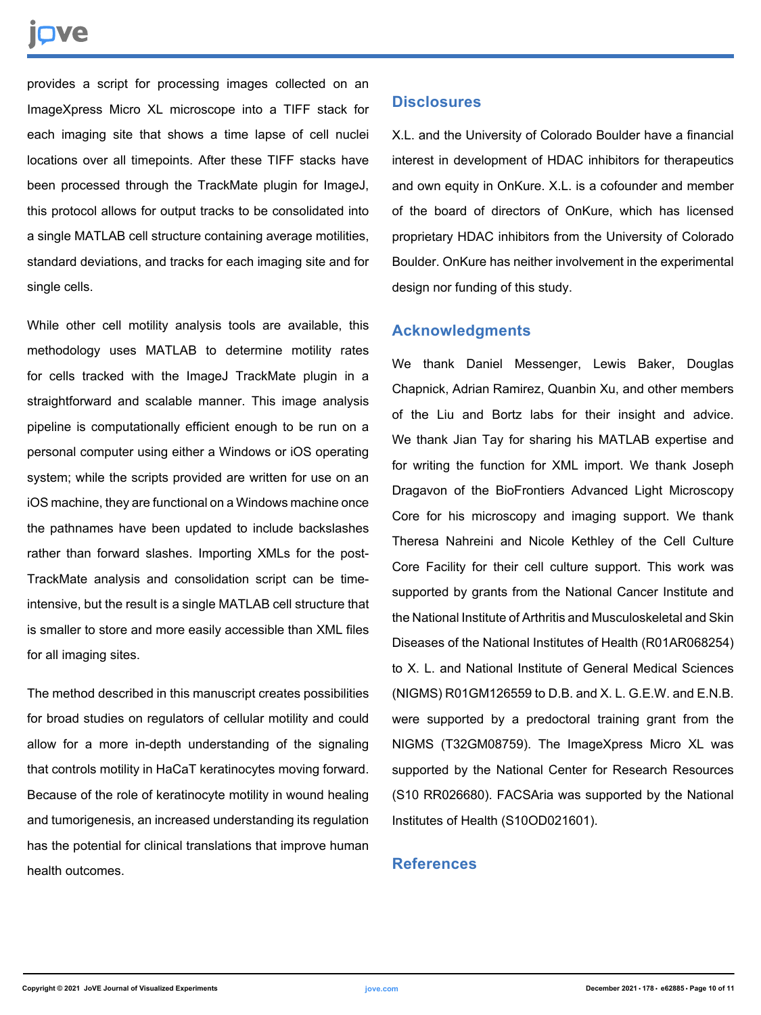# nve

provides a script for processing images collected on an ImageXpress Micro XL microscope into a TIFF stack for each imaging site that shows a time lapse of cell nuclei locations over all timepoints. After these TIFF stacks have been processed through the TrackMate plugin for ImageJ, this protocol allows for output tracks to be consolidated into a single MATLAB cell structure containing average motilities, standard deviations, and tracks for each imaging site and for single cells.

While other cell motility analysis tools are available, this methodology uses MATLAB to determine motility rates for cells tracked with the ImageJ TrackMate plugin in a straightforward and scalable manner. This image analysis pipeline is computationally efficient enough to be run on a personal computer using either a Windows or iOS operating system; while the scripts provided are written for use on an iOS machine, they are functional on a Windows machine once the pathnames have been updated to include backslashes rather than forward slashes. Importing XMLs for the post-TrackMate analysis and consolidation script can be timeintensive, but the result is a single MATLAB cell structure that is smaller to store and more easily accessible than XML files for all imaging sites.

The method described in this manuscript creates possibilities for broad studies on regulators of cellular motility and could allow for a more in-depth understanding of the signaling that controls motility in HaCaT keratinocytes moving forward. Because of the role of keratinocyte motility in wound healing and tumorigenesis, an increased understanding its regulation has the potential for clinical translations that improve human health outcomes.

#### **Disclosures**

X.L. and the University of Colorado Boulder have a financial interest in development of HDAC inhibitors for therapeutics and own equity in OnKure. X.L. is a cofounder and member of the board of directors of OnKure, which has licensed proprietary HDAC inhibitors from the University of Colorado Boulder. OnKure has neither involvement in the experimental design nor funding of this study.

## **Acknowledgments**

We thank Daniel Messenger, Lewis Baker, Douglas Chapnick, Adrian Ramirez, Quanbin Xu, and other members of the Liu and Bortz labs for their insight and advice. We thank Jian Tay for sharing his MATLAB expertise and for writing the function for XML import. We thank Joseph Dragavon of the BioFrontiers Advanced Light Microscopy Core for his microscopy and imaging support. We thank Theresa Nahreini and Nicole Kethley of the Cell Culture Core Facility for their cell culture support. This work was supported by grants from the National Cancer Institute and the National Institute of Arthritis and Musculoskeletal and Skin Diseases of the National Institutes of Health (R01AR068254) to X. L. and National Institute of General Medical Sciences (NIGMS) R01GM126559 to D.B. and X. L. G.E.W. and E.N.B. were supported by a predoctoral training grant from the NIGMS (T32GM08759). The ImageXpress Micro XL was supported by the National Center for Research Resources (S10 RR026680). FACSAria was supported by the National Institutes of Health (S10OD021601).

### **References**